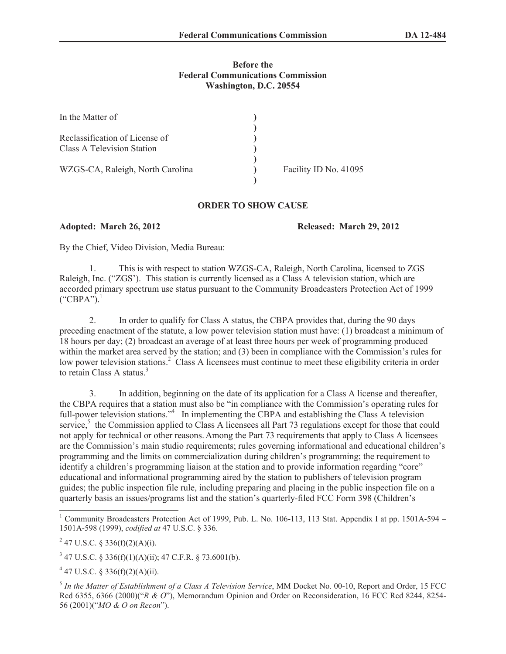## **Before the Federal Communications Commission Washington, D.C. 20554**

| In the Matter of                                                    |                       |
|---------------------------------------------------------------------|-----------------------|
| Reclassification of License of<br><b>Class A Television Station</b> |                       |
| WZGS-CA, Raleigh, North Carolina                                    | Facility ID No. 41095 |

## **ORDER TO SHOW CAUSE**

**Adopted: March 26, 2012 Released: March 29, 2012**

By the Chief, Video Division, Media Bureau:

1. This is with respect to station WZGS-CA, Raleigh, North Carolina, licensed to ZGS Raleigh, Inc. ("ZGS'). This station is currently licensed as a Class A television station, which are accorded primary spectrum use status pursuant to the Community Broadcasters Protection Act of 1999  $("CBPA")$ <sup>1</sup>

2. In order to qualify for Class A status, the CBPA provides that, during the 90 days preceding enactment of the statute, a low power television station must have: (1) broadcast a minimum of 18 hours per day; (2) broadcast an average of at least three hours per week of programming produced within the market area served by the station; and (3) been in compliance with the Commission's rules for low power television stations.<sup>2</sup> Class A licensees must continue to meet these eligibility criteria in order to retain Class A status.<sup>3</sup>

3. In addition, beginning on the date of its application for a Class A license and thereafter, the CBPA requires that a station must also be "in compliance with the Commission's operating rules for full-power television stations."<sup>4</sup> In implementing the CBPA and establishing the Class A television service,<sup>5</sup> the Commission applied to Class A licensees all Part 73 regulations except for those that could not apply for technical or other reasons. Among the Part 73 requirements that apply to Class A licensees are the Commission's main studio requirements; rules governing informational and educational children's programming and the limits on commercialization during children's programming; the requirement to identify a children's programming liaison at the station and to provide information regarding "core" educational and informational programming aired by the station to publishers of television program guides; the public inspection file rule, including preparing and placing in the public inspection file on a quarterly basis an issues/programs list and the station's quarterly-filed FCC Form 398 (Children's

 $3$  47 U.S.C. § 336(f)(1)(A)(ii); 47 C.F.R. § 73.6001(b).

 $4$  47 U.S.C. § 336(f)(2)(A)(ii).

<sup>&</sup>lt;sup>1</sup> Community Broadcasters Protection Act of 1999, Pub. L. No. 106-113, 113 Stat. Appendix I at pp. 1501A-594 – 1501A-598 (1999), *codified at* 47 U.S.C. § 336.

<sup>&</sup>lt;sup>2</sup> 47 U.S.C. § 336(f)(2)(A)(i).

<sup>5</sup> *In the Matter of Establishment of a Class A Television Service*, MM Docket No. 00-10, Report and Order, 15 FCC Rcd 6355, 6366 (2000)("*R & O*"), Memorandum Opinion and Order on Reconsideration, 16 FCC Rcd 8244, 8254- 56 (2001)("*MO & O on Recon*").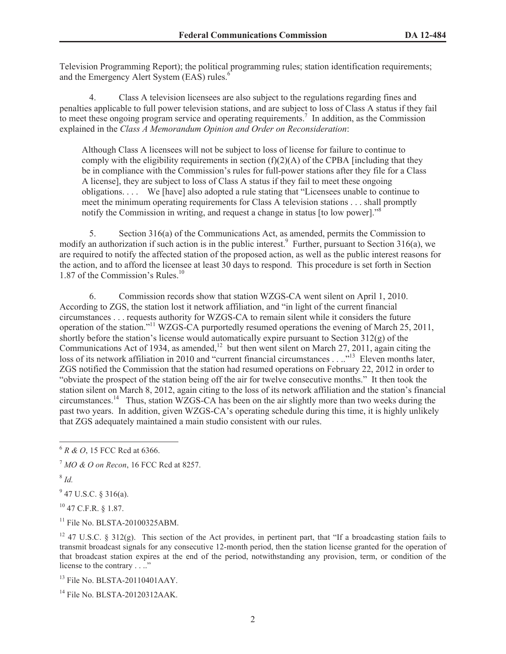Television Programming Report); the political programming rules; station identification requirements; and the Emergency Alert System (EAS) rules.<sup>6</sup>

4. Class A television licensees are also subject to the regulations regarding fines and penalties applicable to full power television stations, and are subject to loss of Class A status if they fail to meet these ongoing program service and operating requirements.<sup>7</sup> In addition, as the Commission explained in the *Class A Memorandum Opinion and Order on Reconsideration*:

Although Class A licensees will not be subject to loss of license for failure to continue to comply with the eligibility requirements in section  $(f)(2)(A)$  of the CPBA [including that they be in compliance with the Commission's rules for full-power stations after they file for a Class A license], they are subject to loss of Class A status if they fail to meet these ongoing obligations. . . . We [have] also adopted a rule stating that "Licensees unable to continue to meet the minimum operating requirements for Class A television stations . . . shall promptly notify the Commission in writing, and request a change in status [to low power].<sup>58</sup>

5. Section 316(a) of the Communications Act, as amended, permits the Commission to modify an authorization if such action is in the public interest.<sup>9</sup> Further, pursuant to Section 316(a), we are required to notify the affected station of the proposed action, as well as the public interest reasons for the action, and to afford the licensee at least 30 days to respond. This procedure is set forth in Section 1.87 of the Commission's Rules.<sup>10</sup>

6. Commission records show that station WZGS-CA went silent on April 1, 2010. According to ZGS, the station lost it network affiliation, and "in light of the current financial circumstances . . . requests authority for WZGS-CA to remain silent while it considers the future operation of the station."<sup>11</sup> WZGS-CA purportedly resumed operations the evening of March 25, 2011, shortly before the station's license would automatically expire pursuant to Section 312(g) of the Communications Act of 1934, as amended, $12$  but then went silent on March 27, 2011, again citing the loss of its network affiliation in 2010 and "current financial circumstances . . .."<sup>13</sup> Eleven months later, ZGS notified the Commission that the station had resumed operations on February 22, 2012 in order to "obviate the prospect of the station being off the air for twelve consecutive months." It then took the station silent on March 8, 2012, again citing to the loss of its network affiliation and the station's financial circumstances.<sup>14</sup> Thus, station WZGS-CA has been on the air slightly more than two weeks during the past two years. In addition, given WZGS-CA's operating schedule during this time, it is highly unlikely that ZGS adequately maintained a main studio consistent with our rules.

8 *Id.*

 $9$  47 U.S.C. § 316(a).

<sup>10</sup> 47 C.F.R. § 1.87.

<sup>11</sup> File No. BLSTA-20100325ABM.

<sup>13</sup> File No. BLSTA-20110401AAY.

<sup>14</sup> File No. BLSTA-20120312AAK.

<sup>6</sup> *R & O*, 15 FCC Rcd at 6366.

<sup>7</sup> *MO & O on Recon*, 16 FCC Rcd at 8257.

<sup>&</sup>lt;sup>12</sup> 47 U.S.C. § 312(g). This section of the Act provides, in pertinent part, that "If a broadcasting station fails to transmit broadcast signals for any consecutive 12-month period, then the station license granted for the operation of that broadcast station expires at the end of the period, notwithstanding any provision, term, or condition of the license to the contrary . . .."